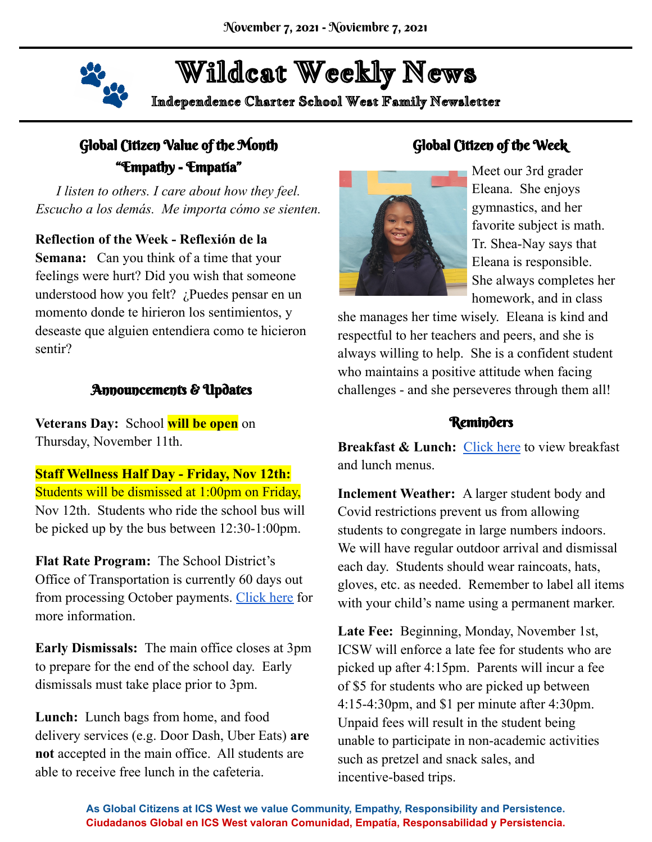

# Wildcat Weekly News

Independence Charter School West Family Newsletter

## Global Citizen Value of the Month "Empathy - Empatía"

*I listen to others. I care about how they feel. Escucho a los demás. Me importa cómo se sienten.*

#### **Reflection of the Week - Reflexión de la**

**Semana:** Can you think of a time that your feelings were hurt? Did you wish that someone understood how you felt? ¿Puedes pensar en un momento donde te hirieron los sentimientos, y deseaste que alguien entendiera como te hicieron sentir?

#### Announcements & Updates

**Veterans Day:** School **will be open** on Thursday, November 11th.

**Staff Wellness Half Day - Friday, Nov 12th:** Students will be dismissed at 1:00pm on Friday, Nov 12th. Students who ride the school bus will be picked up by the bus between 12:30-1:00pm.

**Flat Rate Program:** The School District's Office of Transportation is currently 60 days out from processing October payments. [Click](https://www.philasd.org/transportation/parent-flat-rate-pilot/) here for more information.

**Early Dismissals:** The main office closes at 3pm to prepare for the end of the school day. Early dismissals must take place prior to 3pm.

**Lunch:** Lunch bags from home, and food delivery services (e.g. Door Dash, Uber Eats) **are not** accepted in the main office. All students are able to receive free lunch in the cafeteria.

### Global Citizen of the Week



Meet our 3rd grader Eleana. She enjoys gymnastics, and her favorite subject is math. Tr. Shea-Nay says that Eleana is responsible. She always completes her homework, and in class

she manages her time wisely. Eleana is kind and respectful to her teachers and peers, and she is always willing to help. She is a confident student who maintains a positive attitude when facing challenges - and she perseveres through them all!

#### Reminders

**Breakfast & Lunch:** [Click](https://www.myschoolmenus.com/instance/1047/district/1061) here to view breakfast and lunch menus.

**Inclement Weather:** A larger student body and Covid restrictions prevent us from allowing students to congregate in large numbers indoors. We will have regular outdoor arrival and dismissal each day. Students should wear raincoats, hats, gloves, etc. as needed. Remember to label all items with your child's name using a permanent marker.

**Late Fee:** Beginning, Monday, November 1st, ICSW will enforce a late fee for students who are picked up after 4:15pm. Parents will incur a fee of \$5 for students who are picked up between 4:15-4:30pm, and \$1 per minute after 4:30pm. Unpaid fees will result in the student being unable to participate in non-academic activities such as pretzel and snack sales, and incentive-based trips.